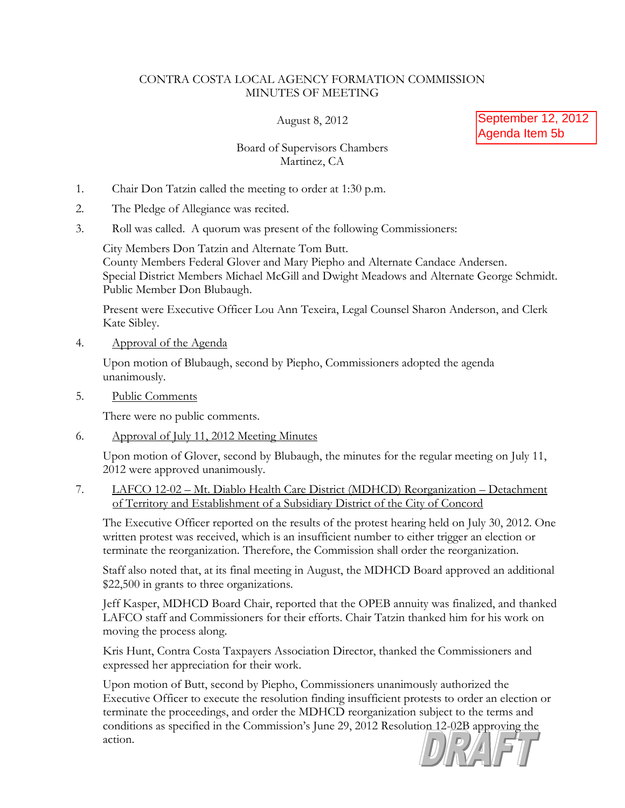## CONTRA COSTA LOCAL AGENCY FORMATION COMMISSION MINUTES OF MEETING

August 8, 2012

September 12, 2012 Agenda Item 5b

## Board of Supervisors Chambers Martinez, CA

- 1. Chair Don Tatzin called the meeting to order at 1:30 p.m.
- 2. The Pledge of Allegiance was recited.
- 3. Roll was called. A quorum was present of the following Commissioners:

City Members Don Tatzin and Alternate Tom Butt. County Members Federal Glover and Mary Piepho and Alternate Candace Andersen. Special District Members Michael McGill and Dwight Meadows and Alternate George Schmidt. Public Member Don Blubaugh.

Present were Executive Officer Lou Ann Texeira, Legal Counsel Sharon Anderson, and Clerk Kate Sibley.

4. Approval of the Agenda

Upon motion of Blubaugh, second by Piepho, Commissioners adopted the agenda unanimously.

5. Public Comments

There were no public comments.

6. Approval of July 11, 2012 Meeting Minutes

Upon motion of Glover, second by Blubaugh, the minutes for the regular meeting on July 11, 2012 were approved unanimously.

7. LAFCO 12-02 – Mt. Diablo Health Care District (MDHCD) Reorganization – Detachment of Territory and Establishment of a Subsidiary District of the City of Concord

The Executive Officer reported on the results of the protest hearing held on July 30, 2012. One written protest was received, which is an insufficient number to either trigger an election or terminate the reorganization. Therefore, the Commission shall order the reorganization.

Staff also noted that, at its final meeting in August, the MDHCD Board approved an additional \$22,500 in grants to three organizations.

Jeff Kasper, MDHCD Board Chair, reported that the OPEB annuity was finalized, and thanked LAFCO staff and Commissioners for their efforts. Chair Tatzin thanked him for his work on moving the process along.

Kris Hunt, Contra Costa Taxpayers Association Director, thanked the Commissioners and expressed her appreciation for their work.

Upon motion of Butt, second by Piepho, Commissioners unanimously authorized the Executive Officer to execute the resolution finding insufficient protests to order an election or terminate the proceedings, and order the MDHCD reorganization subject to the terms and conditions as specified in the Commission's June 29, 2012 Resolution 12-02B approving the action.

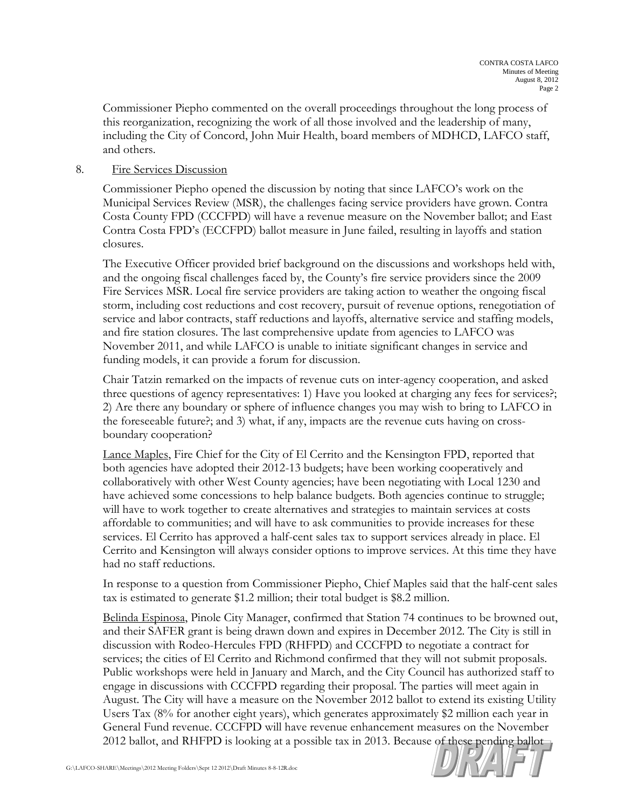Commissioner Piepho commented on the overall proceedings throughout the long process of this reorganization, recognizing the work of all those involved and the leadership of many, including the City of Concord, John Muir Health, board members of MDHCD, LAFCO staff, and others.

## 8. Fire Services Discussion

Commissioner Piepho opened the discussion by noting that since LAFCO's work on the Municipal Services Review (MSR), the challenges facing service providers have grown. Contra Costa County FPD (CCCFPD) will have a revenue measure on the November ballot; and East Contra Costa FPD's (ECCFPD) ballot measure in June failed, resulting in layoffs and station closures.

The Executive Officer provided brief background on the discussions and workshops held with, and the ongoing fiscal challenges faced by, the County's fire service providers since the 2009 Fire Services MSR. Local fire service providers are taking action to weather the ongoing fiscal storm, including cost reductions and cost recovery, pursuit of revenue options, renegotiation of service and labor contracts, staff reductions and layoffs, alternative service and staffing models, and fire station closures. The last comprehensive update from agencies to LAFCO was November 2011, and while LAFCO is unable to initiate significant changes in service and funding models, it can provide a forum for discussion.

Chair Tatzin remarked on the impacts of revenue cuts on inter-agency cooperation, and asked three questions of agency representatives: 1) Have you looked at charging any fees for services?; 2) Are there any boundary or sphere of influence changes you may wish to bring to LAFCO in the foreseeable future?; and 3) what, if any, impacts are the revenue cuts having on crossboundary cooperation?

Lance Maples, Fire Chief for the City of El Cerrito and the Kensington FPD, reported that both agencies have adopted their 2012-13 budgets; have been working cooperatively and collaboratively with other West County agencies; have been negotiating with Local 1230 and have achieved some concessions to help balance budgets. Both agencies continue to struggle; will have to work together to create alternatives and strategies to maintain services at costs affordable to communities; and will have to ask communities to provide increases for these services. El Cerrito has approved a half-cent sales tax to support services already in place. El Cerrito and Kensington will always consider options to improve services. At this time they have had no staff reductions.

In response to a question from Commissioner Piepho, Chief Maples said that the half-cent sales tax is estimated to generate \$1.2 million; their total budget is \$8.2 million.

Belinda Espinosa, Pinole City Manager, confirmed that Station 74 continues to be browned out, and their SAFER grant is being drawn down and expires in December 2012. The City is still in discussion with Rodeo-Hercules FPD (RHFPD) and CCCFPD to negotiate a contract for services; the cities of El Cerrito and Richmond confirmed that they will not submit proposals. Public workshops were held in January and March, and the City Council has authorized staff to engage in discussions with CCCFPD regarding their proposal. The parties will meet again in August. The City will have a measure on the November 2012 ballot to extend its existing Utility Users Tax (8% for another eight years), which generates approximately \$2 million each year in General Fund revenue. CCCFPD will have revenue enhancement measures on the November 2012 ballot, and RHFPD is looking at a possible tax in 2013. Because of these pending ballot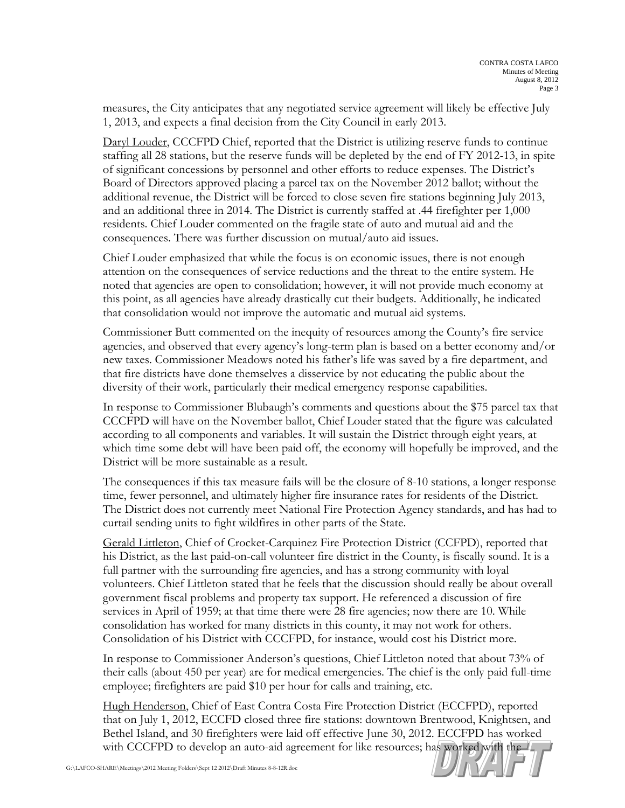measures, the City anticipates that any negotiated service agreement will likely be effective July 1, 2013, and expects a final decision from the City Council in early 2013.

Daryl Louder, CCCFPD Chief, reported that the District is utilizing reserve funds to continue staffing all 28 stations, but the reserve funds will be depleted by the end of FY 2012-13, in spite of significant concessions by personnel and other efforts to reduce expenses. The District's Board of Directors approved placing a parcel tax on the November 2012 ballot; without the additional revenue, the District will be forced to close seven fire stations beginning July 2013, and an additional three in 2014. The District is currently staffed at .44 firefighter per 1,000 residents. Chief Louder commented on the fragile state of auto and mutual aid and the consequences. There was further discussion on mutual/auto aid issues.

Chief Louder emphasized that while the focus is on economic issues, there is not enough attention on the consequences of service reductions and the threat to the entire system. He noted that agencies are open to consolidation; however, it will not provide much economy at this point, as all agencies have already drastically cut their budgets. Additionally, he indicated that consolidation would not improve the automatic and mutual aid systems.

Commissioner Butt commented on the inequity of resources among the County's fire service agencies, and observed that every agency's long-term plan is based on a better economy and/or new taxes. Commissioner Meadows noted his father's life was saved by a fire department, and that fire districts have done themselves a disservice by not educating the public about the diversity of their work, particularly their medical emergency response capabilities.

In response to Commissioner Blubaugh's comments and questions about the \$75 parcel tax that CCCFPD will have on the November ballot, Chief Louder stated that the figure was calculated according to all components and variables. It will sustain the District through eight years, at which time some debt will have been paid off, the economy will hopefully be improved, and the District will be more sustainable as a result.

The consequences if this tax measure fails will be the closure of 8-10 stations, a longer response time, fewer personnel, and ultimately higher fire insurance rates for residents of the District. The District does not currently meet National Fire Protection Agency standards, and has had to curtail sending units to fight wildfires in other parts of the State.

Gerald Littleton, Chief of Crocket-Carquinez Fire Protection District (CCFPD), reported that his District, as the last paid-on-call volunteer fire district in the County, is fiscally sound. It is a full partner with the surrounding fire agencies, and has a strong community with loyal volunteers. Chief Littleton stated that he feels that the discussion should really be about overall government fiscal problems and property tax support. He referenced a discussion of fire services in April of 1959; at that time there were 28 fire agencies; now there are 10. While consolidation has worked for many districts in this county, it may not work for others. Consolidation of his District with CCCFPD, for instance, would cost his District more.

In response to Commissioner Anderson's questions, Chief Littleton noted that about 73% of their calls (about 450 per year) are for medical emergencies. The chief is the only paid full-time employee; firefighters are paid \$10 per hour for calls and training, etc.

Hugh Henderson, Chief of East Contra Costa Fire Protection District (ECCFPD), reported that on July 1, 2012, ECCFD closed three fire stations: downtown Brentwood, Knightsen, and Bethel Island, and 30 firefighters were laid off effective June 30, 2012. ECCFPD has worked with CCCFPD to develop an auto-aid agreement for like resources; has worked with the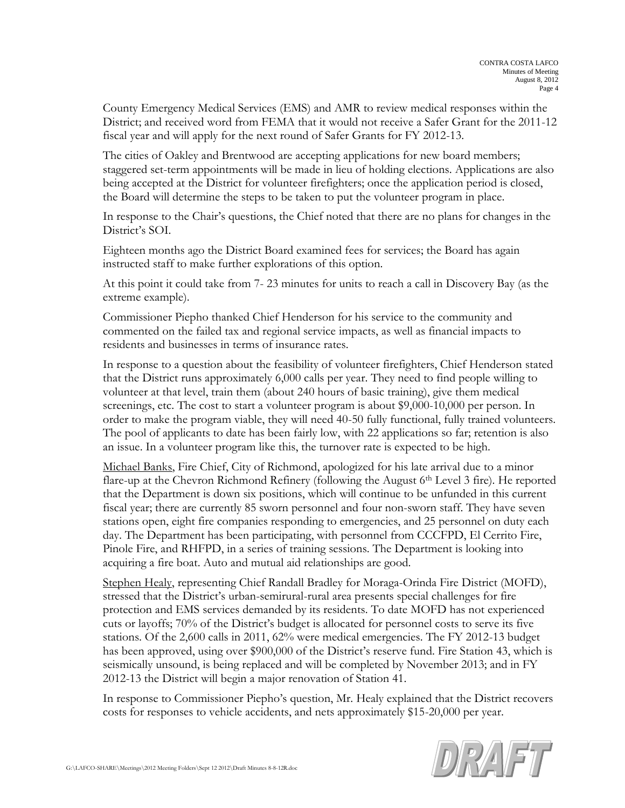County Emergency Medical Services (EMS) and AMR to review medical responses within the District; and received word from FEMA that it would not receive a Safer Grant for the 2011-12 fiscal year and will apply for the next round of Safer Grants for FY 2012-13.

The cities of Oakley and Brentwood are accepting applications for new board members; staggered set-term appointments will be made in lieu of holding elections. Applications are also being accepted at the District for volunteer firefighters; once the application period is closed, the Board will determine the steps to be taken to put the volunteer program in place.

In response to the Chair's questions, the Chief noted that there are no plans for changes in the District's SOI.

Eighteen months ago the District Board examined fees for services; the Board has again instructed staff to make further explorations of this option.

At this point it could take from 7- 23 minutes for units to reach a call in Discovery Bay (as the extreme example).

Commissioner Piepho thanked Chief Henderson for his service to the community and commented on the failed tax and regional service impacts, as well as financial impacts to residents and businesses in terms of insurance rates.

In response to a question about the feasibility of volunteer firefighters, Chief Henderson stated that the District runs approximately 6,000 calls per year. They need to find people willing to volunteer at that level, train them (about 240 hours of basic training), give them medical screenings, etc. The cost to start a volunteer program is about \$9,000-10,000 per person. In order to make the program viable, they will need 40-50 fully functional, fully trained volunteers. The pool of applicants to date has been fairly low, with 22 applications so far; retention is also an issue. In a volunteer program like this, the turnover rate is expected to be high.

Michael Banks, Fire Chief, City of Richmond, apologized for his late arrival due to a minor flare-up at the Chevron Richmond Refinery (following the August 6<sup>th</sup> Level 3 fire). He reported that the Department is down six positions, which will continue to be unfunded in this current fiscal year; there are currently 85 sworn personnel and four non-sworn staff. They have seven stations open, eight fire companies responding to emergencies, and 25 personnel on duty each day. The Department has been participating, with personnel from CCCFPD, El Cerrito Fire, Pinole Fire, and RHFPD, in a series of training sessions. The Department is looking into acquiring a fire boat. Auto and mutual aid relationships are good.

Stephen Healy, representing Chief Randall Bradley for Moraga-Orinda Fire District (MOFD), stressed that the District's urban-semirural-rural area presents special challenges for fire protection and EMS services demanded by its residents. To date MOFD has not experienced cuts or layoffs; 70% of the District's budget is allocated for personnel costs to serve its five stations. Of the 2,600 calls in 2011, 62% were medical emergencies. The FY 2012-13 budget has been approved, using over \$900,000 of the District's reserve fund. Fire Station 43, which is seismically unsound, is being replaced and will be completed by November 2013; and in FY 2012-13 the District will begin a major renovation of Station 41.

In response to Commissioner Piepho's question, Mr. Healy explained that the District recovers costs for responses to vehicle accidents, and nets approximately \$15-20,000 per year.

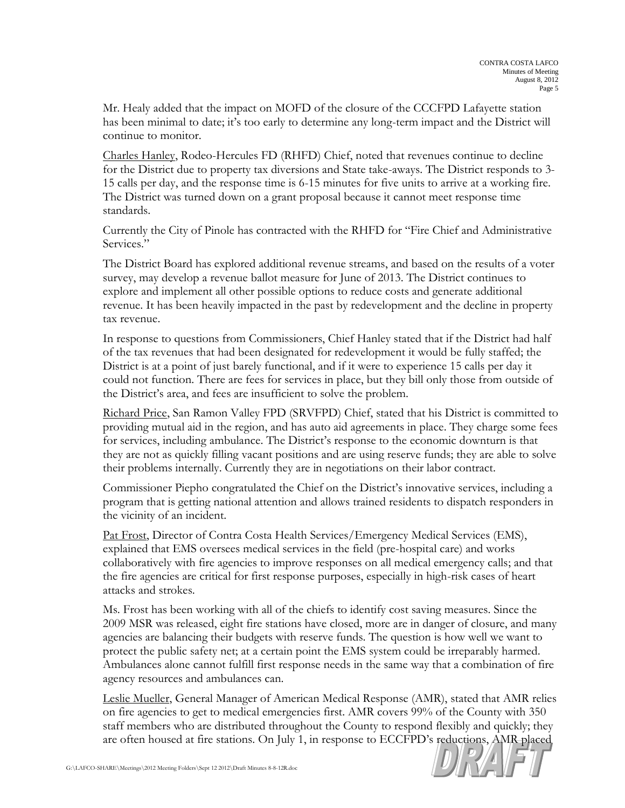Mr. Healy added that the impact on MOFD of the closure of the CCCFPD Lafayette station has been minimal to date; it's too early to determine any long-term impact and the District will continue to monitor.

Charles Hanley, Rodeo-Hercules FD (RHFD) Chief, noted that revenues continue to decline for the District due to property tax diversions and State take-aways. The District responds to 3- 15 calls per day, and the response time is 6-15 minutes for five units to arrive at a working fire. The District was turned down on a grant proposal because it cannot meet response time standards.

Currently the City of Pinole has contracted with the RHFD for "Fire Chief and Administrative Services."

The District Board has explored additional revenue streams, and based on the results of a voter survey, may develop a revenue ballot measure for June of 2013. The District continues to explore and implement all other possible options to reduce costs and generate additional revenue. It has been heavily impacted in the past by redevelopment and the decline in property tax revenue.

In response to questions from Commissioners, Chief Hanley stated that if the District had half of the tax revenues that had been designated for redevelopment it would be fully staffed; the District is at a point of just barely functional, and if it were to experience 15 calls per day it could not function. There are fees for services in place, but they bill only those from outside of the District's area, and fees are insufficient to solve the problem.

Richard Price, San Ramon Valley FPD (SRVFPD) Chief, stated that his District is committed to providing mutual aid in the region, and has auto aid agreements in place. They charge some fees for services, including ambulance. The District's response to the economic downturn is that they are not as quickly filling vacant positions and are using reserve funds; they are able to solve their problems internally. Currently they are in negotiations on their labor contract.

Commissioner Piepho congratulated the Chief on the District's innovative services, including a program that is getting national attention and allows trained residents to dispatch responders in the vicinity of an incident.

Pat Frost, Director of Contra Costa Health Services/Emergency Medical Services (EMS), explained that EMS oversees medical services in the field (pre-hospital care) and works collaboratively with fire agencies to improve responses on all medical emergency calls; and that the fire agencies are critical for first response purposes, especially in high-risk cases of heart attacks and strokes.

Ms. Frost has been working with all of the chiefs to identify cost saving measures. Since the 2009 MSR was released, eight fire stations have closed, more are in danger of closure, and many agencies are balancing their budgets with reserve funds. The question is how well we want to protect the public safety net; at a certain point the EMS system could be irreparably harmed. Ambulances alone cannot fulfill first response needs in the same way that a combination of fire agency resources and ambulances can.

Leslie Mueller, General Manager of American Medical Response (AMR), stated that AMR relies on fire agencies to get to medical emergencies first. AMR covers 99% of the County with 350 staff members who are distributed throughout the County to respond flexibly and quickly; they are often housed at fire stations. On July 1, in response to ECCFPD's reductions, AMR placed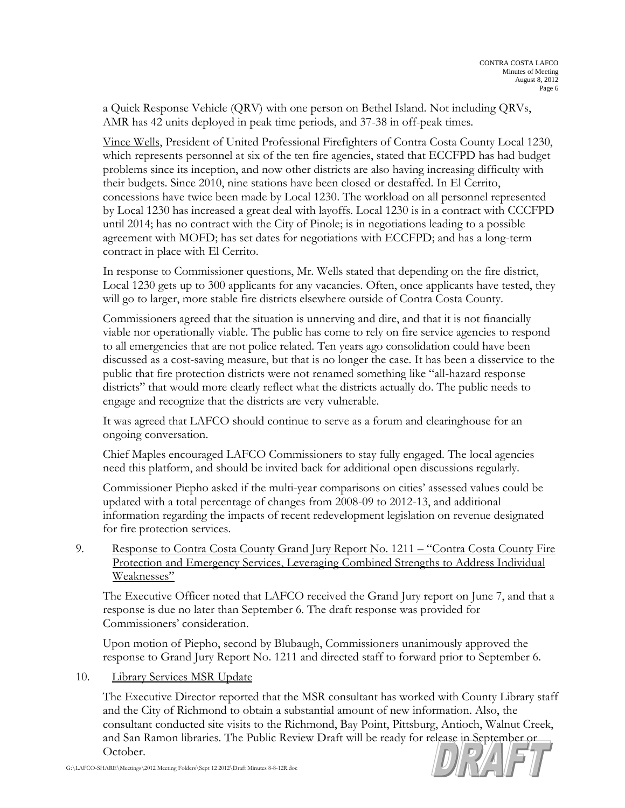a Quick Response Vehicle (QRV) with one person on Bethel Island. Not including QRVs, AMR has 42 units deployed in peak time periods, and 37-38 in off-peak times.

Vince Wells, President of United Professional Firefighters of Contra Costa County Local 1230, which represents personnel at six of the ten fire agencies, stated that ECCFPD has had budget problems since its inception, and now other districts are also having increasing difficulty with their budgets. Since 2010, nine stations have been closed or destaffed. In El Cerrito, concessions have twice been made by Local 1230. The workload on all personnel represented by Local 1230 has increased a great deal with layoffs. Local 1230 is in a contract with CCCFPD until 2014; has no contract with the City of Pinole; is in negotiations leading to a possible agreement with MOFD; has set dates for negotiations with ECCFPD; and has a long-term contract in place with El Cerrito.

In response to Commissioner questions, Mr. Wells stated that depending on the fire district, Local 1230 gets up to 300 applicants for any vacancies. Often, once applicants have tested, they will go to larger, more stable fire districts elsewhere outside of Contra Costa County.

Commissioners agreed that the situation is unnerving and dire, and that it is not financially viable nor operationally viable. The public has come to rely on fire service agencies to respond to all emergencies that are not police related. Ten years ago consolidation could have been discussed as a cost-saving measure, but that is no longer the case. It has been a disservice to the public that fire protection districts were not renamed something like "all-hazard response districts" that would more clearly reflect what the districts actually do. The public needs to engage and recognize that the districts are very vulnerable.

It was agreed that LAFCO should continue to serve as a forum and clearinghouse for an ongoing conversation.

Chief Maples encouraged LAFCO Commissioners to stay fully engaged. The local agencies need this platform, and should be invited back for additional open discussions regularly.

Commissioner Piepho asked if the multi-year comparisons on cities' assessed values could be updated with a total percentage of changes from 2008-09 to 2012-13, and additional information regarding the impacts of recent redevelopment legislation on revenue designated for fire protection services.

9. Response to Contra Costa County Grand Jury Report No. 1211 – "Contra Costa County Fire Protection and Emergency Services, Leveraging Combined Strengths to Address Individual Weaknesses"

The Executive Officer noted that LAFCO received the Grand Jury report on June 7, and that a response is due no later than September 6. The draft response was provided for Commissioners' consideration.

Upon motion of Piepho, second by Blubaugh, Commissioners unanimously approved the response to Grand Jury Report No. 1211 and directed staff to forward prior to September 6.

## 10. Library Services MSR Update

The Executive Director reported that the MSR consultant has worked with County Library staff and the City of Richmond to obtain a substantial amount of new information. Also, the consultant conducted site visits to the Richmond, Bay Point, Pittsburg, Antioch, Walnut Creek, and San Ramon libraries. The Public Review Draft will be ready for release in September or October.